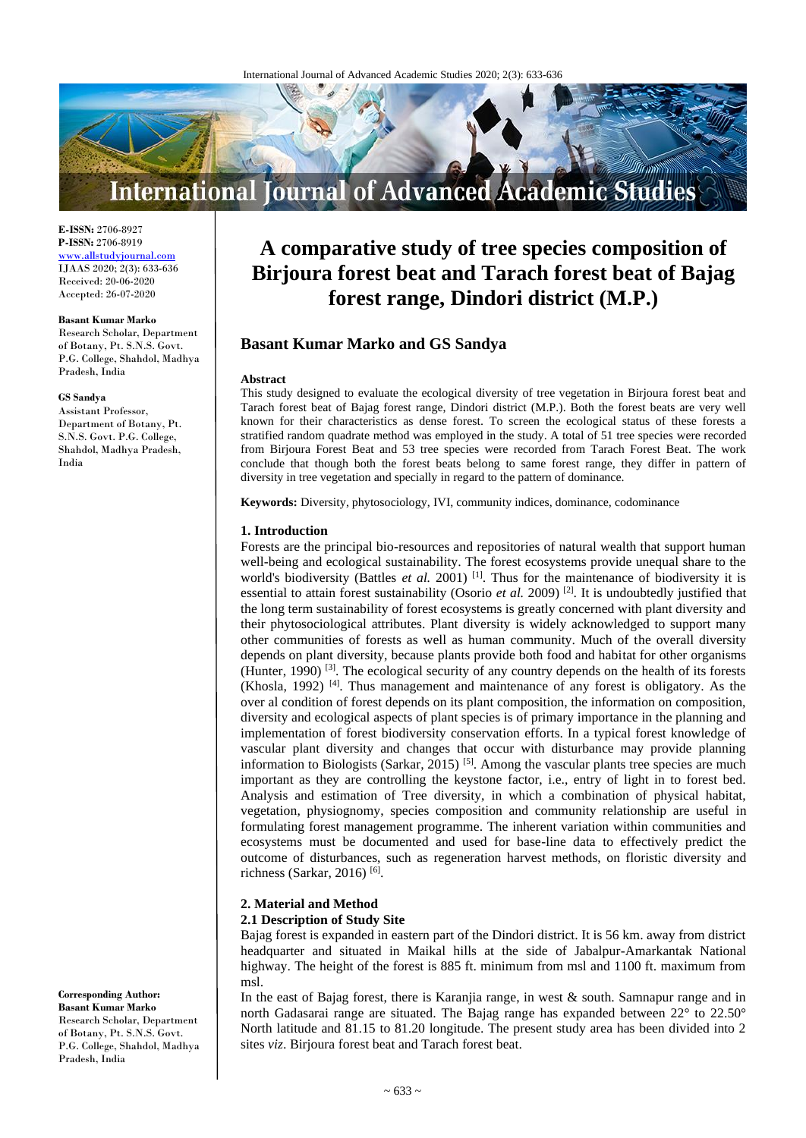

**E-ISSN:** 2706-8927 **P-ISSN:** 2706-8919 [www.allstudyjournal.com](http://www.allstudyjournal.com/) IJAAS 2020; 2(3): 633-636 Received: 20-06-2020 Accepted: 26-07-2020

#### **Basant Kumar Marko**

Research Scholar, Department of Botany, Pt. S.N.S. Govt. P.G. College, Shahdol, Madhya Pradesh, India

#### **GS Sandya**

Assistant Professor, Department of Botany, Pt. S.N.S. Govt. P.G. College, Shahdol, Madhya Pradesh, India

**Corresponding Author: Basant Kumar Marko** Research Scholar, Department of Botany, Pt. S.N.S. Govt. P.G. College, Shahdol, Madhya

Pradesh, India

# **A comparative study of tree species composition of Birjoura forest beat and Tarach forest beat of Bajag forest range, Dindori district (M.P.)**

# **Basant Kumar Marko and GS Sandya**

#### **Abstract**

This study designed to evaluate the ecological diversity of tree vegetation in Birjoura forest beat and Tarach forest beat of Bajag forest range, Dindori district (M.P.). Both the forest beats are very well known for their characteristics as dense forest. To screen the ecological status of these forests a stratified random quadrate method was employed in the study. A total of 51 tree species were recorded from Birjoura Forest Beat and 53 tree species were recorded from Tarach Forest Beat. The work conclude that though both the forest beats belong to same forest range, they differ in pattern of diversity in tree vegetation and specially in regard to the pattern of dominance.

**Keywords:** Diversity, phytosociology, IVI, community indices, dominance, codominance

#### **1. Introduction**

Forests are the principal bio-resources and repositories of natural wealth that support human well-being and ecological sustainability. The forest ecosystems provide unequal share to the world's biodiversity (Battles *et al.* 2001) <sup>[1]</sup>. Thus for the maintenance of biodiversity it is essential to attain forest sustainability (Osorio *et al.* 2009)<sup>[2]</sup>. It is undoubtedly justified that the long term sustainability of forest ecosystems is greatly concerned with plant diversity and their phytosociological attributes. Plant diversity is widely acknowledged to support many other communities of forests as well as human community. Much of the overall diversity depends on plant diversity, because plants provide both food and habitat for other organisms (Hunter, 1990)<sup>[3]</sup>. The ecological security of any country depends on the health of its forests (Khosla, 1992)  $[4]$ . Thus management and maintenance of any forest is obligatory. As the over al condition of forest depends on its plant composition, the information on composition, diversity and ecological aspects of plant species is of primary importance in the planning and implementation of forest biodiversity conservation efforts. In a typical forest knowledge of vascular plant diversity and changes that occur with disturbance may provide planning information to Biologists (Sarkar,  $2015$ )<sup>[5]</sup>. Among the vascular plants tree species are much important as they are controlling the keystone factor, i.e., entry of light in to forest bed. Analysis and estimation of Tree diversity, in which a combination of physical habitat, vegetation, physiognomy, species composition and community relationship are useful in formulating forest management programme. The inherent variation within communities and ecosystems must be documented and used for base-line data to effectively predict the outcome of disturbances, such as regeneration harvest methods, on floristic diversity and richness (Sarkar, 2016) [6] .

# **2. Material and Method**

# **2.1 Description of Study Site**

Bajag forest is expanded in eastern part of the Dindori district. It is 56 km. away from district headquarter and situated in Maikal hills at the side of Jabalpur-Amarkantak National highway. The height of the forest is 885 ft. minimum from msl and 1100 ft. maximum from msl.

In the east of Bajag forest, there is Karanjia range, in west & south. Samnapur range and in north Gadasarai range are situated. The Bajag range has expanded between 22° to 22.50° North latitude and 81.15 to 81.20 longitude. The present study area has been divided into 2 sites *viz*. Birjoura forest beat and Tarach forest beat.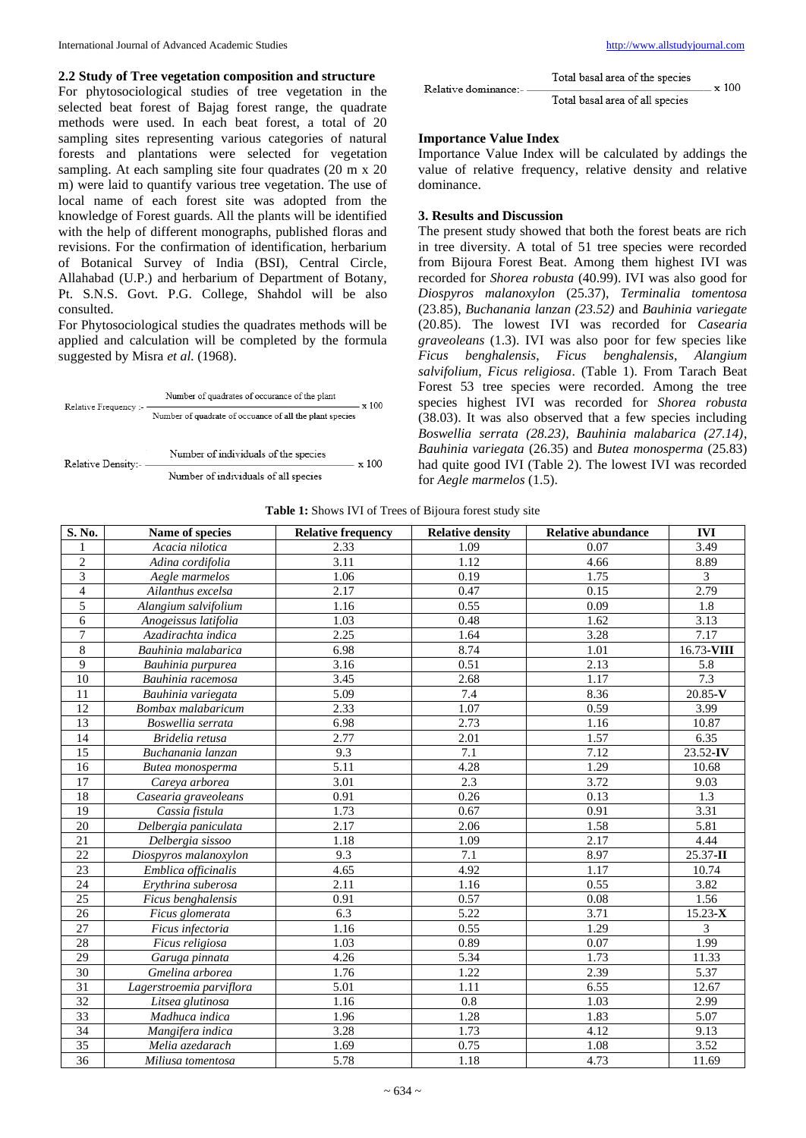#### **2.2 Study of Tree vegetation composition and structure**

For phytosociological studies of tree vegetation in the selected beat forest of Bajag forest range, the quadrate methods were used. In each beat forest, a total of 20 sampling sites representing various categories of natural forests and plantations were selected for vegetation sampling. At each sampling site four quadrates (20 m x 20) m) were laid to quantify various tree vegetation. The use of local name of each forest site was adopted from the knowledge of Forest guards. All the plants will be identified with the help of different monographs, published floras and revisions. For the confirmation of identification, herbarium of Botanical Survey of India (BSI), Central Circle, Allahabad (U.P.) and herbarium of Department of Botany, Pt. S.N.S. Govt. P.G. College, Shahdol will be also consulted.

For Phytosociological studies the quadrates methods will be applied and calculation will be completed by the formula suggested by Misra *et al.* (1968).



Number of individuals of all species

| Relative dominance:- - | Total basal area of the species | $\pm \times 100$ |
|------------------------|---------------------------------|------------------|
|                        | Total basal area of all species |                  |

#### **Importance Value Index**

Importance Value Index will be calculated by addings the value of relative frequency, relative density and relative dominance.

#### **3. Results and Discussion**

The present study showed that both the forest beats are rich in tree diversity. A total of 51 tree species were recorded from Bijoura Forest Beat. Among them highest IVI was recorded for *Shorea robusta* (40.99). IVI was also good for *Diospyros malanoxylon* (25.37), *Terminalia tomentosa* (23.85), *Buchanania lanzan (23.52)* and *Bauhinia variegate*  (20.85). The lowest IVI was recorded for *Casearia graveoleans* (1.3). IVI was also poor for few species like *Ficus benghalensis*, *Ficus benghalensis*, *Alangium salvifolium*, *Ficus religiosa*. (Table 1). From Tarach Beat Forest 53 tree species were recorded. Among the tree species highest IVI was recorded for *Shorea robusta* (38.03). It was also observed that a few species including *Boswellia serrata (28.23), Bauhinia malabarica (27.14)*, *Bauhinia variegata* (26.35) and *Butea monosperma* (25.83) had quite good IVI (Table 2). The lowest IVI was recorded for *Aegle marmelos* (1.5).

**Table 1:** Shows IVI of Trees of Bijoura forest study site

| S. No.          | Name of species          | <b>Relative frequency</b> | <b>Relative density</b> | <b>Relative abundance</b> | <b>IVI</b>  |
|-----------------|--------------------------|---------------------------|-------------------------|---------------------------|-------------|
| $\mathbf{1}$    | Acacia nilotica          | 2.33                      | 1.09                    | 0.07                      | 3.49        |
| $\sqrt{2}$      | Adina cordifolia         | 3.11                      | 1.12                    | 4.66                      | 8.89        |
| $\overline{3}$  | Aegle marmelos           | 1.06                      | 0.19                    | 1.75                      | 3           |
| $\overline{4}$  | Ailanthus excelsa        | 2.17                      | 0.47                    | 0.15                      | 2.79        |
| 5               | Alangium salvifolium     | 1.16                      | 0.55                    | 0.09                      | 1.8         |
| 6               | Anogeissus latifolia     | 1.03                      | 0.48                    | 1.62                      | 3.13        |
| $\overline{7}$  | Azadirachta indica       | 2.25                      | 1.64                    | 3.28                      | 7.17        |
| $\,8\,$         | Bauhinia malabarica      | 6.98                      | 8.74                    | 1.01                      | 16.73-VIII  |
| $\overline{9}$  | Bauhinia purpurea        | 3.16                      | 0.51                    | 2.13                      | 5.8         |
| 10              | Bauhinia racemosa        | 3.45                      | 2.68                    | 1.17                      | 7.3         |
| 11              | Bauhinia variegata       | 5.09                      | 7.4                     | 8.36                      | 20.85-V     |
| 12              | Bombax malabaricum       | 2.33                      | 1.07                    | 0.59                      | 3.99        |
| 13              | Boswellia serrata        | 6.98                      | 2.73                    | 1.16                      | 10.87       |
| 14              | Bridelia retusa          | 2.77                      | 2.01                    | 1.57                      | 6.35        |
| 15              | Buchanania lanzan        | 9.3                       | 7.1                     | 7.12                      | 23.52-IV    |
| 16              | Butea monosperma         | 5.11                      | 4.28                    | 1.29                      | 10.68       |
| 17              | Careya arborea           | 3.01                      | 2.3                     | 3.72                      | 9.03        |
| 18              | Casearia graveoleans     | 0.91                      | 0.26                    | 0.13                      | 1.3         |
| 19              | Cassia fistula           | 1.73                      | 0.67                    | 0.91                      | 3.31        |
| 20              | Delbergia paniculata     | 2.17                      | 2.06                    | 1.58                      | 5.81        |
| 21              | Delbergia sissoo         | 1.18                      | 1.09                    | 2.17                      | 4.44        |
| 22              | Diospyros malanoxylon    | 9.3                       | 7.1                     | 8.97                      | 25.37-II    |
| $\overline{23}$ | Emblica officinalis      | 4.65                      | 4.92                    | 1.17                      | 10.74       |
| 24              | Erythrina suberosa       | 2.11                      | 1.16                    | 0.55                      | 3.82        |
| 25              | Ficus benghalensis       | 0.91                      | 0.57                    | 0.08                      | 1.56        |
| 26              | Ficus glomerata          | 6.3                       | 5.22                    | 3.71                      | $15.23 - X$ |
| 27              | Ficus infectoria         | 1.16                      | 0.55                    | 1.29                      | 3           |
| 28              | Ficus religiosa          | 1.03                      | 0.89                    | 0.07                      | 1.99        |
| 29              | Garuga pinnata           | 4.26                      | 5.34                    | 1.73                      | 11.33       |
| 30              | Gmelina arborea          | 1.76                      | 1.22                    | 2.39                      | 5.37        |
| $\overline{31}$ | Lagerstroemia parviflora | 5.01                      | 1.11                    | 6.55                      | 12.67       |
| 32              | Litsea glutinosa         | 1.16                      | 0.8                     | 1.03                      | 2.99        |
| 33              | Madhuca indica           | 1.96                      | 1.28                    | 1.83                      | 5.07        |
| 34              | Mangifera indica         | 3.28                      | 1.73                    | 4.12                      | 9.13        |
| 35              | Melia azedarach          | 1.69                      | 0.75                    | 1.08                      | 3.52        |
| 36              | Miliusa tomentosa        | 5.78                      | 1.18                    | 4.73                      | 11.69       |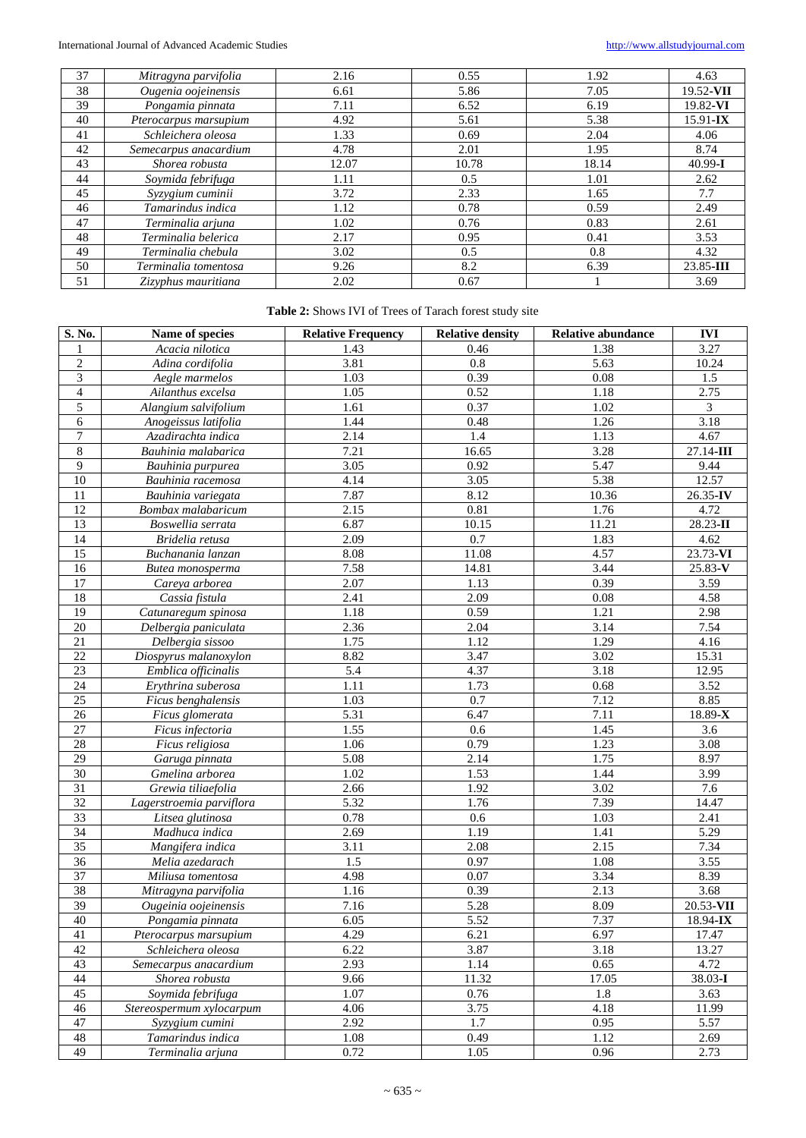| 37 | Mitragyna parvifolia  | 2.16  | 0.55  | 1.92  | 4.63         |
|----|-----------------------|-------|-------|-------|--------------|
| 38 | Ougenia oojeinensis   | 6.61  | 5.86  | 7.05  | 19.52-VII    |
| 39 | Pongamia pinnata      | 7.11  | 6.52  | 6.19  | 19.82-VI     |
| 40 | Pterocarpus marsupium | 4.92  | 5.61  | 5.38  | $15.91 - IX$ |
| 41 | Schleichera oleosa    | 1.33  | 0.69  | 2.04  | 4.06         |
| 42 | Semecarpus anacardium | 4.78  | 2.01  | 1.95  | 8.74         |
| 43 | Shorea robusta        | 12.07 | 10.78 | 18.14 | $40.99 - I$  |
| 44 | Soymida febrifuga     | 1.11  | 0.5   | 1.01  | 2.62         |
| 45 | Syzygium cuminii      | 3.72  | 2.33  | 1.65  | 7.7          |
| 46 | Tamarindus indica     | 1.12  | 0.78  | 0.59  | 2.49         |
| 47 | Terminalia arjuna     | 1.02  | 0.76  | 0.83  | 2.61         |
| 48 | Terminalia belerica   | 2.17  | 0.95  | 0.41  | 3.53         |
| 49 | Terminalia chebula    | 3.02  | 0.5   | 0.8   | 4.32         |
| 50 | Terminalia tomentosa  | 9.26  | 8.2   | 6.39  | 23.85-III    |
| 51 | Zizyphus mauritiana   | 2.02  | 0.67  |       | 3.69         |

# **Table 2:** Shows IVI of Trees of Tarach forest study site

| S. No.           | Name of species          | <b>Relative Frequency</b> | <b>Relative density</b> | <b>Relative abundance</b> | <b>IVI</b>        |
|------------------|--------------------------|---------------------------|-------------------------|---------------------------|-------------------|
| 1                | Acacia nilotica          | 1.43                      | 0.46                    | 1.38                      | 3.27              |
| $\sqrt{2}$       | Adina cordifolia         | 3.81                      | 0.8                     | 5.63                      | 10.24             |
| $\mathfrak{Z}$   | Aegle marmelos           | 1.03                      | 0.39                    | 0.08                      | 1.5               |
| $\overline{4}$   | Ailanthus excelsa        | 1.05                      | 0.52                    | 1.18                      | 2.75              |
| 5                | Alangium salvifolium     | 1.61                      | 0.37                    | 1.02                      | 3                 |
| 6                | Anogeissus latifolia     | 1.44                      | 0.48                    | 1.26                      | 3.18              |
| $\boldsymbol{7}$ | Azadirachta indica       | 2.14                      | 1.4                     | 1.13                      | 4.67              |
| $8\,$            | Bauhinia malabarica      | 7.21                      | 16.65                   | 3.28                      | $27.14 - III$     |
| $\overline{9}$   | Bauhinia purpurea        | 3.05                      | 0.92                    | 5.47                      | 9.44              |
| 10               | Bauhinia racemosa        | 4.14                      | 3.05                    | 5.38                      | 12.57             |
| 11               | Bauhinia variegata       | 7.87                      | 8.12                    | 10.36                     | 26.35-IV          |
| 12               | Bombax malabaricum       | 2.15                      | 0.81                    | 1.76                      | $4.\overline{72}$ |
| 13               | Boswellia serrata        | 6.87                      | $\overline{10.15}$      | 11.21                     | 28.23-II          |
| 14               | Bridelia retusa          | 2.09                      | 0.7                     | 1.83                      | 4.62              |
| 15               | Buchanania lanzan        | 8.08                      | 11.08                   | 4.57                      | 23.73-VI          |
| 16               | Butea monosperma         | 7.58                      | 14.81                   | 3.44                      | $25.83-V$         |
| 17               | Careya arborea           | 2.07                      | 1.13                    | 0.39                      | 3.59              |
| $18\,$           | Cassia fistula           | 2.41                      | 2.09                    | 0.08                      | 4.58              |
| 19               | Catunaregum spinosa      | 1.18                      | 0.59                    | 1.21                      | 2.98              |
| $20\,$           | Delbergia paniculata     | 2.36                      | 2.04                    | $\overline{3.14}$         | 7.54              |
| 21               | Delbergia sissoo         | 1.75                      | 1.12                    | 1.29                      | 4.16              |
| $22\,$           | Diospyrus malanoxylon    | 8.82                      | 3.47                    | 3.02                      | 15.31             |
| 23               | Emblica officinalis      | 5.4                       | 4.37                    | 3.18                      | 12.95             |
| 24               | Erythrina suberosa       | 1.11                      | 1.73                    | 0.68                      | 3.52              |
| $25\,$           | Ficus benghalensis       | 1.03                      | 0.7                     | 7.12                      | 8.85              |
| 26               | Ficus glomerata          | 5.31                      | 6.47                    | 7.11                      | 18.89-X           |
| 27               | Ficus infectoria         | 1.55                      | 0.6                     | 1.45                      | 3.6               |
| $28\,$           | Ficus religiosa          | 1.06                      | 0.79                    | 1.23                      | 3.08              |
| 29               | Garuga pinnata           | $\overline{5.08}$         | 2.14                    | 1.75                      | 8.97              |
| $30\,$           | Gmelina arborea          | 1.02                      | 1.53                    | 1.44                      | 3.99              |
| 31               | Grewia tiliaefolia       | 2.66                      | 1.92                    | 3.02                      | 7.6               |
| $\overline{32}$  | Lagerstroemia parviflora | 5.32                      | 1.76                    | 7.39                      | 14.47             |
| 33               | Litsea glutinosa         | 0.78                      | 0.6                     | 1.03                      | 2.41              |
| 34               | Madhuca indica           | 2.69                      | 1.19                    | 1.41                      | 5.29              |
| 35               | Mangifera indica         | 3.11                      | 2.08                    | 2.15                      | 7.34              |
| 36               | Melia azedarach          | $\overline{1.5}$          | 0.97                    | 1.08                      | 3.55              |
| 37               | Miliusa tomentosa        | 4.98                      | 0.07                    | 3.34                      | 8.39              |
| 38               | Mitragyna parvifolia     | 1.16                      | 0.39                    | 2.13                      | 3.68              |
| 39               | Ougeinia oojeinensis     | 7.16                      | 5.28                    | 8.09                      | $20.53$ -VII      |
| 40               | Pongamia pinnata         | 6.05                      | 5.52                    | 7.37                      | $18.94 - IX$      |
| 41               | Pterocarpus marsupum     | 4.29                      | 6.21                    | 6.97                      | 17.47             |
| 42               | Schleichera oleosa       | 6.22                      | 3.87                    | 3.18                      | 13.27             |
| 43               | Semecarpus anacardium    | 2.93                      | 1.14                    | 0.65                      | 4.72              |
| $44\,$           | Shorea robusta           | 9.66                      | 11.32                   | 17.05                     | 38.03-I           |
| 45               | Soymida febrifuga        | 1.07                      | $0.76\,$                | 1.8                       | 3.63              |
| 46               | Stereospermum xylocarpum | 4.06                      | 3.75                    | 4.18                      | 11.99             |
| 47               | Syzygium cumini          | 2.92                      | $\overline{1.7}$        | 0.95                      | 5.57              |
| 48               | Tamarindus indica        | 1.08                      | 0.49                    | $1.\overline{12}$         | 2.69              |
| 49               | Terminalia arjuna        | 0.72                      | 1.05                    | 0.96                      | 2.73              |